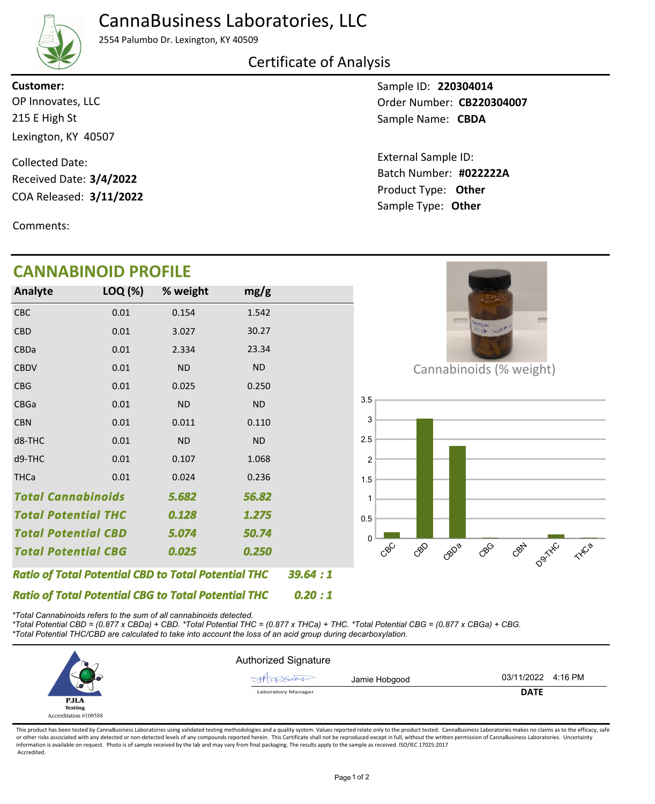# CannaBusiness Laboratories, LLC



2554 Palumbo Dr. Lexington, KY 40509

#### Certificate of Analysis

215 E High St Lexington, KY 40507 OP Innovates, LLC **Customer:**

COA Released: 3/11/2022 Collected Date: Received Date: **3/4/2022**

Comments:

# **CANNABINOID PROFILE**

Sample ID: **220304014** Sample Name: CBDA Order Number: CB220304007

Product Type: **Other 3/11/2022 #022222A** Batch Number: External Sample ID: Sample Type: **Other**

| ANNADINUID FRUFILE                                         |         |           |           |  |  |  |
|------------------------------------------------------------|---------|-----------|-----------|--|--|--|
| <b>Analyte</b>                                             | LOQ (%) | % weight  | mg/g      |  |  |  |
| <b>CBC</b>                                                 | 0.01    | 0.154     | 1.542     |  |  |  |
| <b>CBD</b>                                                 | 0.01    | 3.027     | 30.27     |  |  |  |
| <b>CBDa</b>                                                | 0.01    | 2.334     | 23.34     |  |  |  |
| <b>CBDV</b>                                                | 0.01    | <b>ND</b> | <b>ND</b> |  |  |  |
| <b>CBG</b>                                                 | 0.01    | 0.025     | 0.250     |  |  |  |
| <b>CBGa</b>                                                | 0.01    | <b>ND</b> | <b>ND</b> |  |  |  |
| <b>CBN</b>                                                 | 0.01    | 0.011     | 0.110     |  |  |  |
| d8-THC                                                     | 0.01    | <b>ND</b> | <b>ND</b> |  |  |  |
| d9-THC                                                     | 0.01    | 0.107     | 1.068     |  |  |  |
| <b>THCa</b>                                                | 0.01    | 0.024     | 0.236     |  |  |  |
| <b>Total Cannabinoids</b><br>5.682                         |         |           | 56.82     |  |  |  |
| <b>Total Potential THC</b>                                 |         | 0.128     | 1.275     |  |  |  |
| <b>Total Potential CBD</b>                                 |         | 5.074     | 50.74     |  |  |  |
| <b>Total Potential CBG</b><br>0.025                        |         |           | 0.250     |  |  |  |
| <b>Ratio of Total Potential CBD to Total Potential THC</b> |         | 39.64:1   |           |  |  |  |
| <b>Ratio of Total Potential CBG to Total Potential THC</b> | 0.20:1  |           |           |  |  |  |



Cannabinoids (% weight)



*\*Total Cannabinoids refers to the sum of all cannabinoids detected.*

*\*Total Potential CBD = (0.877 x CBDa) + CBD. \*Total Potential THC = (0.877 x THCa) + THC. \*Total Potential CBG = (0.877 x CBGa) + CBG. \*Total Potential THC/CBD are calculated to take into account the loss of an acid group during decarboxylation.*



This product has been tested by CannaBusiness Laboratories using validated testing methodologies and a quality system. Values reported relate only to the product tested. CannaBusiness Laboratories makes no claims as to the or other risks associated with any detected or non-detected levels of any compounds reported herein. This Certificate shall not be reproduced except in full, without the written permission of CannaBusiness Laboratories. Un information is available on request. Photo is of sample received by the lab and may vary from final packaging. The results apply to the sample as received. ISO/IEC 17025:2017 Accredited.